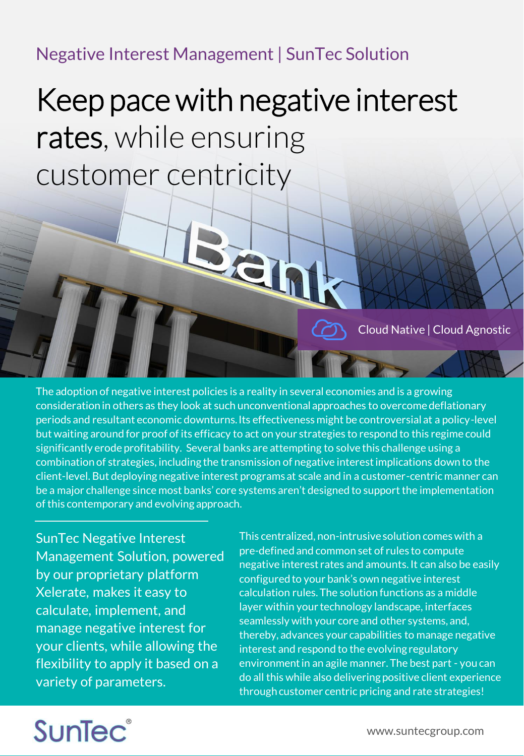## Negative Interest Management | SunTec Solution

# Keep pace with negative interest rates, while ensuring customer centricity

 $\overline{\bullet}$ 

The adoption of negative interest policies is a reality in several economies and is a growing consideration in others as they look at such unconventional approaches to overcome deflationary periods and resultant economic downturns. Its effectiveness might be controversial at a policy-level but waiting around for proof of its efficacy to act on your strategies to respond to this regime could significantly erode profitability. Several banks are attempting to solve this challenge using a combination of strategies, including the transmission of negative interest implications down to the client-level. But deploying negative interest programs at scale and in a customer-centric manner can be a major challenge since most banks' core systems aren't designed to support the implementation of this contemporary and evolving approach.

SunTec Negative Interest Management Solution, powered by our proprietary platform Xelerate, makes it easy to calculate, implement, and manage negative interest for your clients, while allowing the flexibility to apply it based on a variety of parameters.

This centralized, non-intrusive solution comes with a pre-defined and common set of rules to compute negative interest rates and amounts. It can also be easily configured to your bank's own negative interest calculation rules. The solution functions as a middle layer within your technology landscape, interfaces seamlessly with your core and other systems, and, thereby, advances your capabilities to manage negative interest and respond to the evolving regulatory environment in an agile manner. The best part - you can do all this while also delivering positive client experience through customer centric pricing and rate strategies!

# SunTec®

Cloud Native | Cloud Agnostic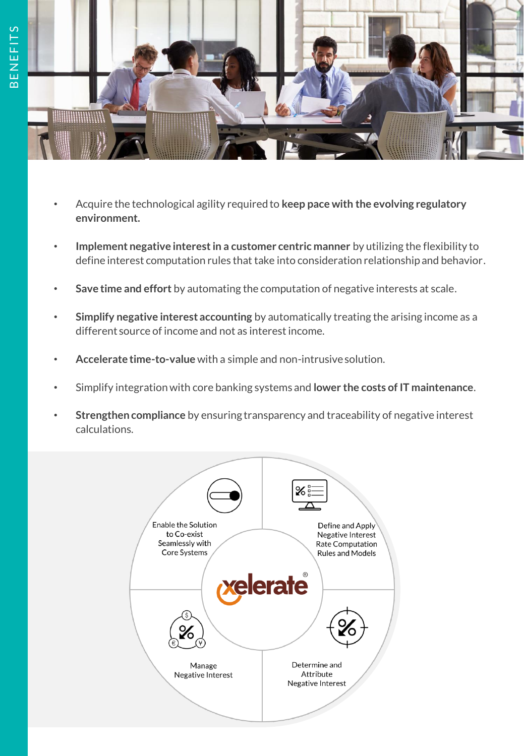

- Acquire the technological agility required to **keep pace with the evolving regulatory environment.**
- **Implement negative interest in a customer centric manner** by utilizing the flexibility to define interest computation rules that take into consideration relationship and behavior.
- **Save time and effort** by automating the computation of negative interests at scale.
- **Simplify negative interest accounting** by automatically treating the arising income as a different source of income and not as interest income.
- **Accelerate time-to-value** with a simple and non-intrusive solution.
- Simplify integration with core banking systems and **lower the costs of IT maintenance**.
- **Strengthen compliance** by ensuring transparency and traceability of negative interest calculations.

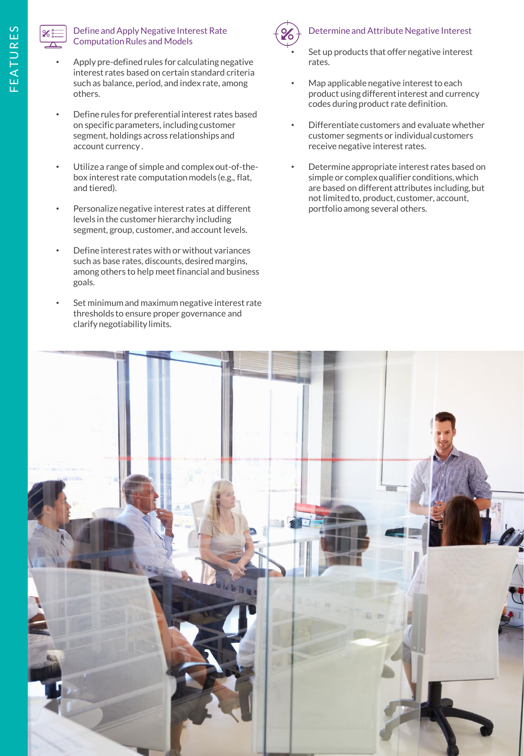

#### • Define and Apply Negative Interest Rate Computation Rules and Models

- Apply pre-defined rules for calculating negative interest rates based on certain standard criteria such as balance, period, and index rate, among others.
- Define rules for preferential interest rates based on specific parameters, including customer segment, holdings across relationships and account currency .
- Utilize a range of simple and complex out-of-thebox interest rate computation models (e.g., flat, and tiered).
- Personalize negative interest rates at different levels in the customer hierarchy including segment, group, customer, and account levels.
- Define interest rates with or without variances such as base rates, discounts, desired margins, among others to help meet financial and business goals.
- Set minimum and maximum negative interest rate thresholds to ensure proper governance and clarify negotiability limits.



### • Determine and Attribute Negative Interest

Set up products that offer negative interest rates.

- Map applicable negative interest to each product using different interest and currency codes during product rate definition.
- Differentiate customers and evaluate whether customer segments or individual customers receive negative interest rates.
- Determine appropriate interest rates based on simple or complex qualifier conditions, which are based on different attributes including, but not limited to, product, customer, account, portfolio among several others.